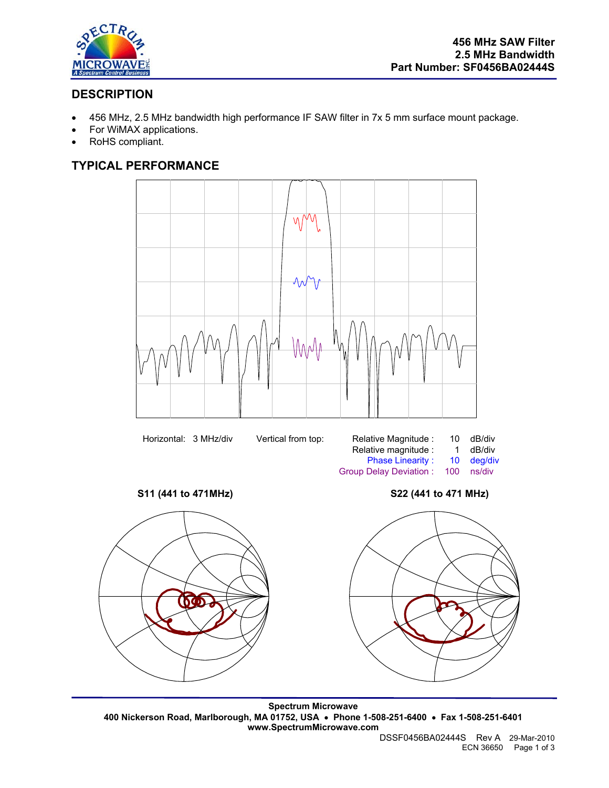

## **DESCRIPTION**

- 456 MHz, 2.5 MHz bandwidth high performance IF SAW filter in 7x 5 mm surface mount package.
- For WiMAX applications.
- RoHS compliant.

# **TYPICAL PERFORMANCE**

V\/ VV | Λл MAAA

Horizontal: 3 MHz/div Vertical from top:

| Vertical from top: | Relative Magnitude :          | 10  | dB/div     |
|--------------------|-------------------------------|-----|------------|
|                    | Relative magnitude :          |     | dB/div     |
|                    | <b>Phase Linearity:</b>       |     | 10 dea/div |
|                    | <b>Group Delay Deviation:</b> | 100 | ns/div     |

**S11 (441 to 471MHz) S22 (441 to 471 MHz)** 



**Spectrum Microwave 400 Nickerson Road, Marlborough, MA 01752, USA** • **Phone 1-508-251-6400** • **Fax 1-508-251-6401 www.SpectrumMicrowave.com** 

DSSF0456BA02444S Rev A 29-Mar-2010 ECN 36650 Page 1 of 3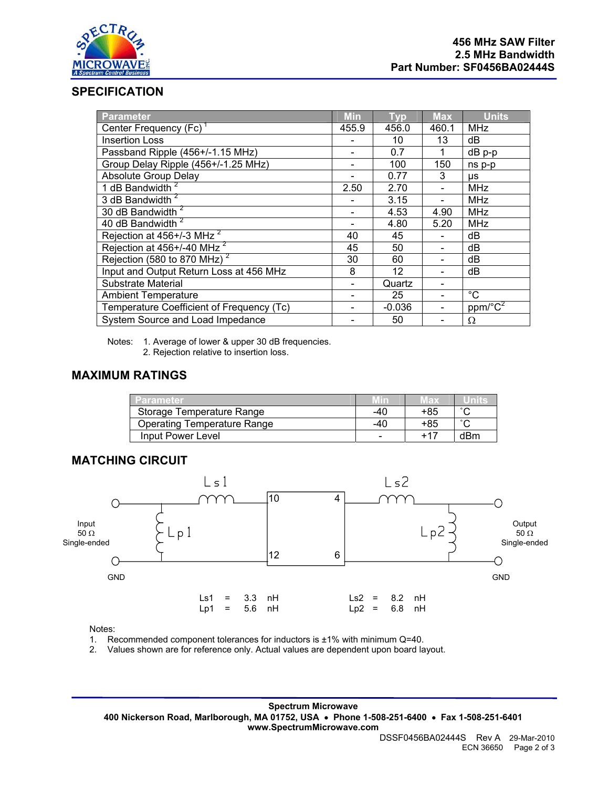

#### **SPECIFICATION**

| <b>Parameter</b>                          | <b>Min</b> | <b>Typ</b> | <b>Max</b> | <b>Units</b>            |
|-------------------------------------------|------------|------------|------------|-------------------------|
| Center Frequency (Fc) <sup>1</sup>        |            | 456.0      | 460.1      | <b>MHz</b>              |
| <b>Insertion Loss</b>                     |            | 10         | 13         | dB                      |
| Passband Ripple (456+/-1.15 MHz)          |            | 0.7        | 1          | dB p-p                  |
| Group Delay Ripple (456+/-1.25 MHz)       |            | 100        | 150        | ns p-p                  |
| <b>Absolute Group Delay</b>               |            | 0.77       | 3          | <b>US</b>               |
| 1 dB Bandwidth <sup>2</sup>               |            | 2.70       |            | <b>MHz</b>              |
| 3 dB Bandwidth <sup>2</sup>               |            | 3.15       |            | <b>MHz</b>              |
| 30 dB Bandwidth <sup>2</sup>              |            | 4.53       | 4.90       | <b>MHz</b>              |
| 40 dB Bandwidth <sup>2</sup>              |            | 4.80       | 5.20       | <b>MHz</b>              |
| Rejection at 456+/-3 MHz <sup>2</sup>     |            | 45         |            | dB                      |
| Rejection at 456+/-40 MHz <sup>2</sup>    | 45         | 50         |            | dB                      |
| Rejection (580 to 870 MHz) <sup>2</sup>   |            | 60         |            | dB                      |
| Input and Output Return Loss at 456 MHz   |            | 12         |            | dB                      |
| Substrate Material                        |            | Quartz     |            |                         |
| <b>Ambient Temperature</b>                |            | 25         |            | $^{\circ}C$             |
| Temperature Coefficient of Frequency (Tc) |            | $-0.036$   |            | $ppm/\sqrt{\text{C}^2}$ |
| System Source and Load Impedance          |            | 50         |            | Ω                       |

Notes: 1. Average of lower & upper 30 dB frequencies.

2. Rejection relative to insertion loss.

### **MAXIMUM RATINGS**

| <b>/ Parameter</b>                 | Min | Max   |        |
|------------------------------------|-----|-------|--------|
| Storage Temperature Range          | -40 | +85   | $\sim$ |
| <b>Operating Temperature Range</b> | -40 | +85   | $\sim$ |
| Input Power Level                  |     | $+17$ | dBm    |

#### **MATCHING CIRCUIT**



Notes:

1. Recommended component tolerances for inductors is ±1% with minimum Q=40.

2. Values shown are for reference only. Actual values are dependent upon board layout.

**Spectrum Microwave 400 Nickerson Road, Marlborough, MA 01752, USA** • **Phone 1-508-251-6400** • **Fax 1-508-251-6401 www.SpectrumMicrowave.com**